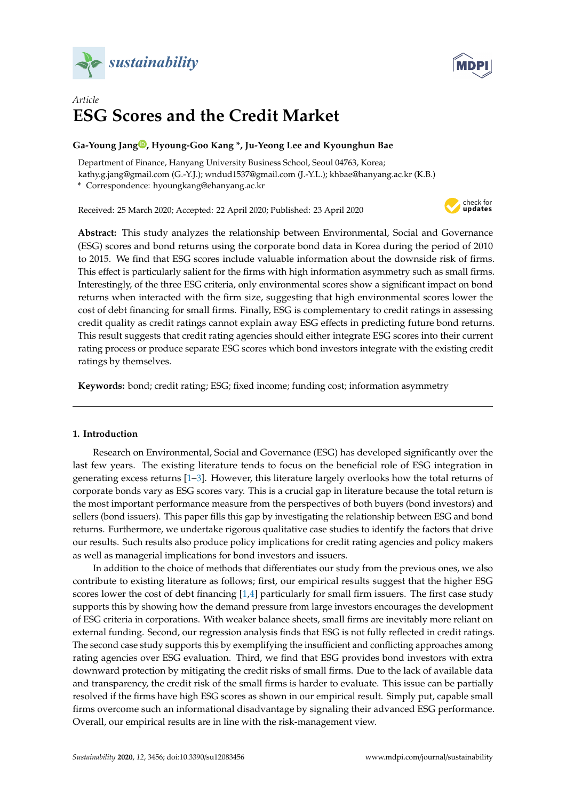



# *Article* **ESG Scores and the Credit Market**

# **Ga-Young Jan[g](https://orcid.org/0000-0002-7564-0286) , Hyoung-Goo Kang \*, Ju-Yeong Lee and Kyounghun Bae**

Department of Finance, Hanyang University Business School, Seoul 04763, Korea; kathy.g.jang@gmail.com (G.-Y.J.); wndud1537@gmail.com (J.-Y.L.); khbae@hanyang.ac.kr (K.B.) **\*** Correspondence: hyoungkang@ehanyang.ac.kr

Received: 25 March 2020; Accepted: 22 April 2020; Published: 23 April 2020



**Abstract:** This study analyzes the relationship between Environmental, Social and Governance (ESG) scores and bond returns using the corporate bond data in Korea during the period of 2010 to 2015. We find that ESG scores include valuable information about the downside risk of firms. This effect is particularly salient for the firms with high information asymmetry such as small firms. Interestingly, of the three ESG criteria, only environmental scores show a significant impact on bond returns when interacted with the firm size, suggesting that high environmental scores lower the cost of debt financing for small firms. Finally, ESG is complementary to credit ratings in assessing credit quality as credit ratings cannot explain away ESG effects in predicting future bond returns. This result suggests that credit rating agencies should either integrate ESG scores into their current rating process or produce separate ESG scores which bond investors integrate with the existing credit ratings by themselves.

**Keywords:** bond; credit rating; ESG; fixed income; funding cost; information asymmetry

# **1. Introduction**

Research on Environmental, Social and Governance (ESG) has developed significantly over the last few years. The existing literature tends to focus on the beneficial role of ESG integration in generating excess returns [\[1–](#page-11-0)[3\]](#page-11-1). However, this literature largely overlooks how the total returns of corporate bonds vary as ESG scores vary. This is a crucial gap in literature because the total return is the most important performance measure from the perspectives of both buyers (bond investors) and sellers (bond issuers). This paper fills this gap by investigating the relationship between ESG and bond returns. Furthermore, we undertake rigorous qualitative case studies to identify the factors that drive our results. Such results also produce policy implications for credit rating agencies and policy makers as well as managerial implications for bond investors and issuers.

In addition to the choice of methods that differentiates our study from the previous ones, we also contribute to existing literature as follows; first, our empirical results suggest that the higher ESG scores lower the cost of debt financing [\[1,](#page-11-0)[4\]](#page-11-2) particularly for small firm issuers. The first case study supports this by showing how the demand pressure from large investors encourages the development of ESG criteria in corporations. With weaker balance sheets, small firms are inevitably more reliant on external funding. Second, our regression analysis finds that ESG is not fully reflected in credit ratings. The second case study supports this by exemplifying the insufficient and conflicting approaches among rating agencies over ESG evaluation. Third, we find that ESG provides bond investors with extra downward protection by mitigating the credit risks of small firms. Due to the lack of available data and transparency, the credit risk of the small firms is harder to evaluate. This issue can be partially resolved if the firms have high ESG scores as shown in our empirical result. Simply put, capable small firms overcome such an informational disadvantage by signaling their advanced ESG performance. Overall, our empirical results are in line with the risk-management view.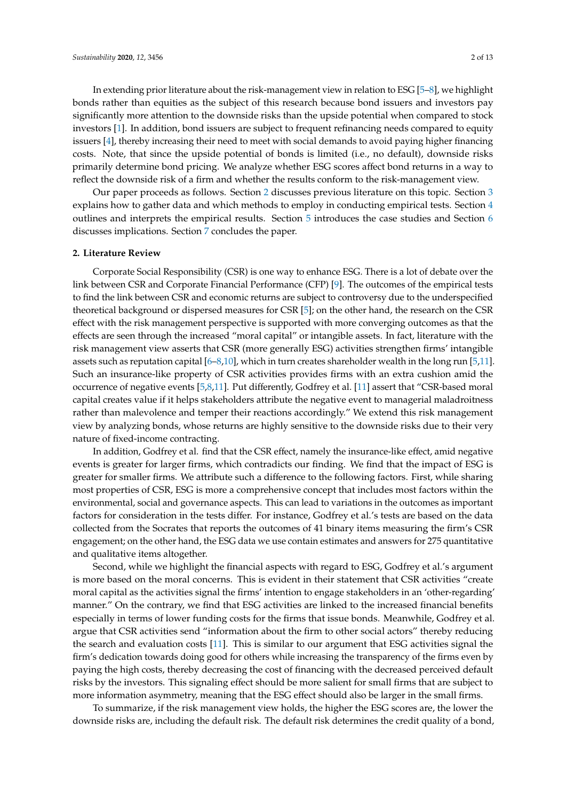In extending prior literature about the risk-management view in relation to ESG [\[5–](#page-11-3)[8\]](#page-11-4), we highlight bonds rather than equities as the subject of this research because bond issuers and investors pay significantly more attention to the downside risks than the upside potential when compared to stock investors [\[1\]](#page-11-0). In addition, bond issuers are subject to frequent refinancing needs compared to equity issuers [\[4\]](#page-11-2), thereby increasing their need to meet with social demands to avoid paying higher financing costs. Note, that since the upside potential of bonds is limited (i.e., no default), downside risks primarily determine bond pricing. We analyze whether ESG scores affect bond returns in a way to reflect the downside risk of a firm and whether the results conform to the risk-management view.

Our paper proceeds as follows. Section [2](#page-1-0) discusses previous literature on this topic. Section [3](#page-2-0) explains how to gather data and which methods to employ in conducting empirical tests. Section [4](#page-3-0) outlines and interprets the empirical results. Section [5](#page-7-0) introduces the case studies and Section [6](#page-9-0) discusses implications. Section [7](#page-9-1) concludes the paper.

#### <span id="page-1-0"></span>**2. Literature Review**

Corporate Social Responsibility (CSR) is one way to enhance ESG. There is a lot of debate over the link between CSR and Corporate Financial Performance (CFP) [\[9\]](#page-11-5). The outcomes of the empirical tests to find the link between CSR and economic returns are subject to controversy due to the underspecified theoretical background or dispersed measures for CSR [\[5\]](#page-11-3); on the other hand, the research on the CSR effect with the risk management perspective is supported with more converging outcomes as that the effects are seen through the increased "moral capital" or intangible assets. In fact, literature with the risk management view asserts that CSR (more generally ESG) activities strengthen firms' intangible assets such as reputation capital [\[6](#page-11-6)[–8](#page-11-4)[,10\]](#page-11-7), which in turn creates shareholder wealth in the long run [\[5](#page-11-3)[,11\]](#page-11-8). Such an insurance-like property of CSR activities provides firms with an extra cushion amid the occurrence of negative events [\[5](#page-11-3)[,8](#page-11-4)[,11\]](#page-11-8). Put differently, Godfrey et al. [\[11\]](#page-11-8) assert that "CSR-based moral capital creates value if it helps stakeholders attribute the negative event to managerial maladroitness rather than malevolence and temper their reactions accordingly." We extend this risk management view by analyzing bonds, whose returns are highly sensitive to the downside risks due to their very nature of fixed-income contracting.

In addition, Godfrey et al. find that the CSR effect, namely the insurance-like effect, amid negative events is greater for larger firms, which contradicts our finding. We find that the impact of ESG is greater for smaller firms. We attribute such a difference to the following factors. First, while sharing most properties of CSR, ESG is more a comprehensive concept that includes most factors within the environmental, social and governance aspects. This can lead to variations in the outcomes as important factors for consideration in the tests differ. For instance, Godfrey et al.'s tests are based on the data collected from the Socrates that reports the outcomes of 41 binary items measuring the firm's CSR engagement; on the other hand, the ESG data we use contain estimates and answers for 275 quantitative and qualitative items altogether.

Second, while we highlight the financial aspects with regard to ESG, Godfrey et al.'s argument is more based on the moral concerns. This is evident in their statement that CSR activities "create moral capital as the activities signal the firms' intention to engage stakeholders in an 'other-regarding' manner." On the contrary, we find that ESG activities are linked to the increased financial benefits especially in terms of lower funding costs for the firms that issue bonds. Meanwhile, Godfrey et al. argue that CSR activities send "information about the firm to other social actors" thereby reducing the search and evaluation costs [\[11\]](#page-11-8). This is similar to our argument that ESG activities signal the firm's dedication towards doing good for others while increasing the transparency of the firms even by paying the high costs, thereby decreasing the cost of financing with the decreased perceived default risks by the investors. This signaling effect should be more salient for small firms that are subject to more information asymmetry, meaning that the ESG effect should also be larger in the small firms.

To summarize, if the risk management view holds, the higher the ESG scores are, the lower the downside risks are, including the default risk. The default risk determines the credit quality of a bond,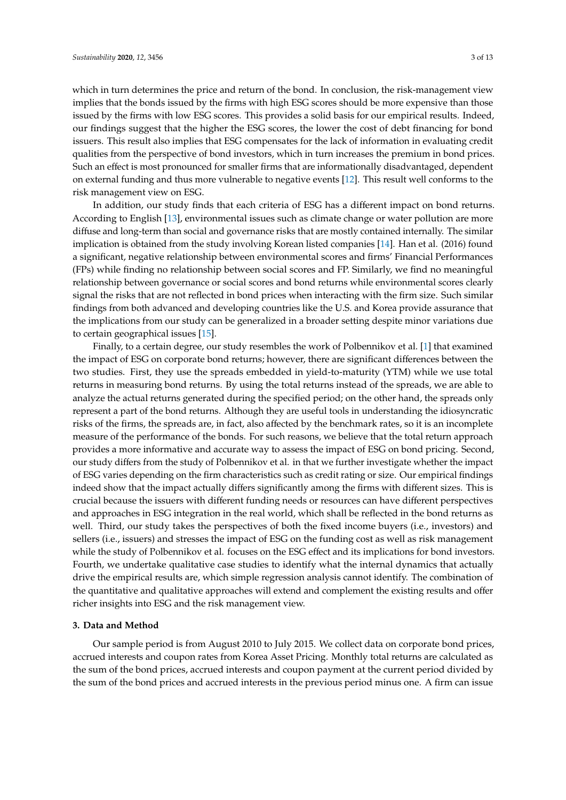which in turn determines the price and return of the bond. In conclusion, the risk-management view implies that the bonds issued by the firms with high ESG scores should be more expensive than those issued by the firms with low ESG scores. This provides a solid basis for our empirical results. Indeed, our findings suggest that the higher the ESG scores, the lower the cost of debt financing for bond issuers. This result also implies that ESG compensates for the lack of information in evaluating credit qualities from the perspective of bond investors, which in turn increases the premium in bond prices. Such an effect is most pronounced for smaller firms that are informationally disadvantaged, dependent on external funding and thus more vulnerable to negative events [\[12\]](#page-11-9). This result well conforms to the risk management view on ESG.

In addition, our study finds that each criteria of ESG has a different impact on bond returns. According to English [\[13\]](#page-11-10), environmental issues such as climate change or water pollution are more diffuse and long-term than social and governance risks that are mostly contained internally. The similar implication is obtained from the study involving Korean listed companies [\[14\]](#page-11-11). Han et al. (2016) found a significant, negative relationship between environmental scores and firms' Financial Performances (FPs) while finding no relationship between social scores and FP. Similarly, we find no meaningful relationship between governance or social scores and bond returns while environmental scores clearly signal the risks that are not reflected in bond prices when interacting with the firm size. Such similar findings from both advanced and developing countries like the U.S. and Korea provide assurance that the implications from our study can be generalized in a broader setting despite minor variations due to certain geographical issues [\[15\]](#page-11-12).

Finally, to a certain degree, our study resembles the work of Polbennikov et al. [\[1\]](#page-11-0) that examined the impact of ESG on corporate bond returns; however, there are significant differences between the two studies. First, they use the spreads embedded in yield-to-maturity (YTM) while we use total returns in measuring bond returns. By using the total returns instead of the spreads, we are able to analyze the actual returns generated during the specified period; on the other hand, the spreads only represent a part of the bond returns. Although they are useful tools in understanding the idiosyncratic risks of the firms, the spreads are, in fact, also affected by the benchmark rates, so it is an incomplete measure of the performance of the bonds. For such reasons, we believe that the total return approach provides a more informative and accurate way to assess the impact of ESG on bond pricing. Second, our study differs from the study of Polbennikov et al. in that we further investigate whether the impact of ESG varies depending on the firm characteristics such as credit rating or size. Our empirical findings indeed show that the impact actually differs significantly among the firms with different sizes. This is crucial because the issuers with different funding needs or resources can have different perspectives and approaches in ESG integration in the real world, which shall be reflected in the bond returns as well. Third, our study takes the perspectives of both the fixed income buyers (i.e., investors) and sellers (i.e., issuers) and stresses the impact of ESG on the funding cost as well as risk management while the study of Polbennikov et al. focuses on the ESG effect and its implications for bond investors. Fourth, we undertake qualitative case studies to identify what the internal dynamics that actually drive the empirical results are, which simple regression analysis cannot identify. The combination of the quantitative and qualitative approaches will extend and complement the existing results and offer richer insights into ESG and the risk management view.

## <span id="page-2-0"></span>**3. Data and Method**

Our sample period is from August 2010 to July 2015. We collect data on corporate bond prices, accrued interests and coupon rates from Korea Asset Pricing. Monthly total returns are calculated as the sum of the bond prices, accrued interests and coupon payment at the current period divided by the sum of the bond prices and accrued interests in the previous period minus one. A firm can issue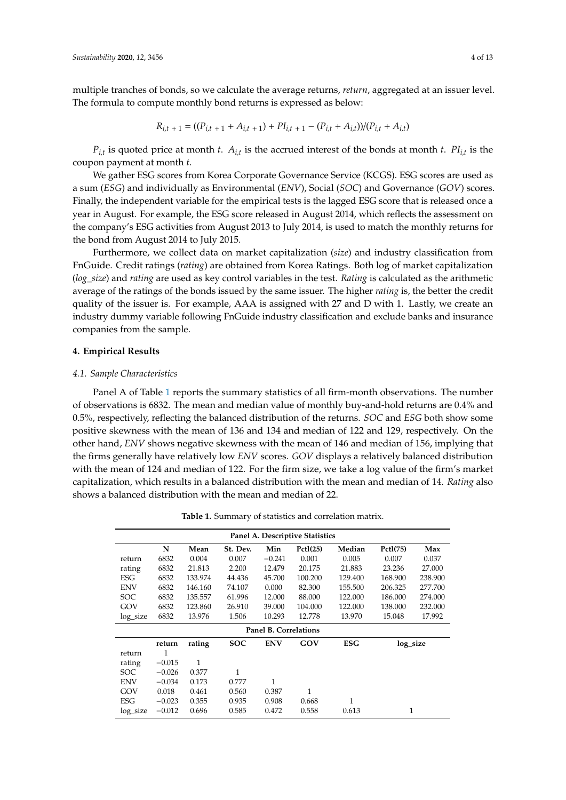multiple tranches of bonds, so we calculate the average returns, *return*, aggregated at an issuer level. The formula to compute monthly bond returns is expressed as below:

$$
R_{i,t+1} = ((P_{i,t+1} + A_{i,t+1}) + PI_{i,t+1} - (P_{i,t} + A_{i,t}))/(P_{i,t} + A_{i,t})
$$

 $P_{i,t}$  is quoted price at month *t*.  $A_{i,t}$  is the accrued interest of the bonds at month *t*.  $PI_{i,t}$  is the coupon payment at month *t*.

We gather ESG scores from Korea Corporate Governance Service (KCGS). ESG scores are used as a sum (*ESG*) and individually as Environmental (*ENV*), Social (*SOC*) and Governance (*GOV*) scores. Finally, the independent variable for the empirical tests is the lagged ESG score that is released once a year in August. For example, the ESG score released in August 2014, which reflects the assessment on the company's ESG activities from August 2013 to July 2014, is used to match the monthly returns for the bond from August 2014 to July 2015.

Furthermore, we collect data on market capitalization (*size*) and industry classification from FnGuide. Credit ratings (*rating*) are obtained from Korea Ratings. Both log of market capitalization (*log\_size*) and *rating* are used as key control variables in the test. *Rating* is calculated as the arithmetic average of the ratings of the bonds issued by the same issuer. The higher *rating* is, the better the credit quality of the issuer is. For example, AAA is assigned with 27 and D with 1. Lastly, we create an industry dummy variable following FnGuide industry classification and exclude banks and insurance companies from the sample.

# <span id="page-3-0"></span>**4. Empirical Results**

#### *4.1. Sample Characteristics*

Panel A of Table [1](#page-3-1) reports the summary statistics of all firm-month observations. The number of observations is 6832. The mean and median value of monthly buy-and-hold returns are 0.4% and 0.5%, respectively, reflecting the balanced distribution of the returns. *SOC* and *ESG* both show some positive skewness with the mean of 136 and 134 and median of 122 and 129, respectively. On the other hand, *ENV* shows negative skewness with the mean of 146 and median of 156, implying that the firms generally have relatively low *ENV* scores. *GOV* displays a relatively balanced distribution with the mean of 124 and median of 122. For the firm size, we take a log value of the firm's market capitalization, which results in a balanced distribution with the mean and median of 14. *Rating* also shows a balanced distribution with the mean and median of 22.

<span id="page-3-1"></span>**Panel A. Descriptive Statistics N Mean St. Dev. Min Pctl(25) Median Pctl(75) Max** return 6832 0.004 0.007 −0.241 0.001 0.005 0.007 0.037 rating 6832 21.813 2.200 12.479 20.175 21.883 23.236 27.000 ESG 6832 133.974 44.436 45.700 100.200 129.400 168.900 238.900 ENV 6832 146.160 74.107 0.000 82.300 155.500 206.325 277.700 SOC 6832 135.557 61.996 12.000 88.000 122.000 186.000 274.000 GOV 6832 123.860 26.910 39.000 104.000 122.000 138.000 232.000 log\_size 6832 13.976 1.506 10.293 12.778 13.970 15.048 17.992 **Panel B. Correlations return rating SOC ENV GOV ESG log\_size** return 1 rating  $-0.015$  1<br>SOC  $-0.026$  0.377  $SOC$   $-0.026$   $0.377$  1 ENV −0.034 0.173 0.777 1 GOV 0.018 0.461 0.560 0.387 1 ESG −0.023 0.355 0.935 0.908 0.668 1 log\_size −0.012 0.696 0.585 0.472 0.558 0.613 1

**Table 1.** Summary of statistics and correlation matrix.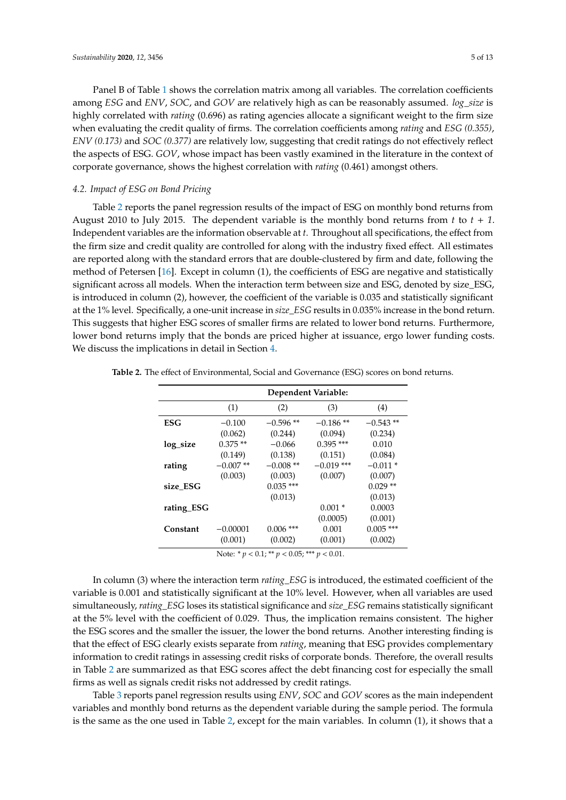Panel B of Table [1](#page-3-1) shows the correlation matrix among all variables. The correlation coefficients among *ESG* and *ENV*, *SOC*, and *GOV* are relatively high as can be reasonably assumed. *log\_size* is highly correlated with *rating* (0.696) as rating agencies allocate a significant weight to the firm size when evaluating the credit quality of firms. The correlation coefficients among *rating* and *ESG (0.355)*, *ENV (0.173)* and *SOC (0.377)* are relatively low, suggesting that credit ratings do not effectively reflect the aspects of ESG. *GOV*, whose impact has been vastly examined in the literature in the context of corporate governance, shows the highest correlation with *rating* (0.461) amongst others.

#### *4.2. Impact of ESG on Bond Pricing*

Table [2](#page-4-0) reports the panel regression results of the impact of ESG on monthly bond returns from August 2010 to July 2015. The dependent variable is the monthly bond returns from *t* to *t* + *1*. Independent variables are the information observable at *t*. Throughout all specifications, the effect from the firm size and credit quality are controlled for along with the industry fixed effect. All estimates are reported along with the standard errors that are double-clustered by firm and date, following the method of Petersen [\[16\]](#page-11-13). Except in column (1), the coefficients of ESG are negative and statistically significant across all models. When the interaction term between size and ESG, denoted by size\_ESG, is introduced in column (2), however, the coefficient of the variable is 0.035 and statistically significant at the 1% level. Specifically, a one-unit increase in *size\_ESG* results in 0.035% increase in the bond return. This suggests that higher ESG scores of smaller firms are related to lower bond returns. Furthermore, lower bond returns imply that the bonds are priced higher at issuance, ergo lower funding costs. We discuss the implications in detail in Section [4.](#page-3-0)

|            | Dependent Variable: |             |              |             |
|------------|---------------------|-------------|--------------|-------------|
|            | (1)                 | (2)         | (3)          | (4)         |
| ESG        | $-0.100$            | $-0.596**$  | $-0.186**$   | $-0.543**$  |
|            | (0.062)             | (0.244)     | (0.094)      | (0.234)     |
| log_size   | $0.375**$           | $-0.066$    | $0.395$ ***  | 0.010       |
|            | (0.149)             | (0.138)     | (0.151)      | (0.084)     |
| rating     | $-0.007**$          | $-0.008**$  | $-0.019$ *** | $-0.011*$   |
|            | (0.003)             | (0.003)     | (0.007)      | (0.007)     |
| size ESG   |                     | $0.035$ *** |              | $0.029**$   |
|            |                     | (0.013)     |              | (0.013)     |
| rating_ESG |                     |             | $0.001*$     | 0.0003      |
|            |                     |             | (0.0005)     | (0.001)     |
| Constant   | $-0.00001$          | $0.006$ *** | 0.001        | $0.005$ *** |
|            | (0.001)             | (0.002)     | (0.001)      | (0.002)     |

<span id="page-4-0"></span>**Table 2.** The effect of Environmental, Social and Governance (ESG) scores on bond returns.

Note: \* *p* < 0.1; \*\* *p* < 0.05; \*\*\* *p* < 0.01.

In column (3) where the interaction term *rating ESG* is introduced, the estimated coefficient of the variable is 0.001 and statistically significant at the 10% level. However, when all variables are used simultaneously, *rating\_ESG* loses its statistical significance and *size\_ESG* remains statistically significant at the 5% level with the coefficient of 0.029. Thus, the implication remains consistent. The higher the ESG scores and the smaller the issuer, the lower the bond returns. Another interesting finding is that the effect of ESG clearly exists separate from *rating*, meaning that ESG provides complementary information to credit ratings in assessing credit risks of corporate bonds. Therefore, the overall results in Table [2](#page-4-0) are summarized as that ESG scores affect the debt financing cost for especially the small firms as well as signals credit risks not addressed by credit ratings.

Table [3](#page-5-0) reports panel regression results using *ENV*, *SOC* and *GOV* scores as the main independent variables and monthly bond returns as the dependent variable during the sample period. The formula is the same as the one used in Table [2,](#page-4-0) except for the main variables. In column (1), it shows that a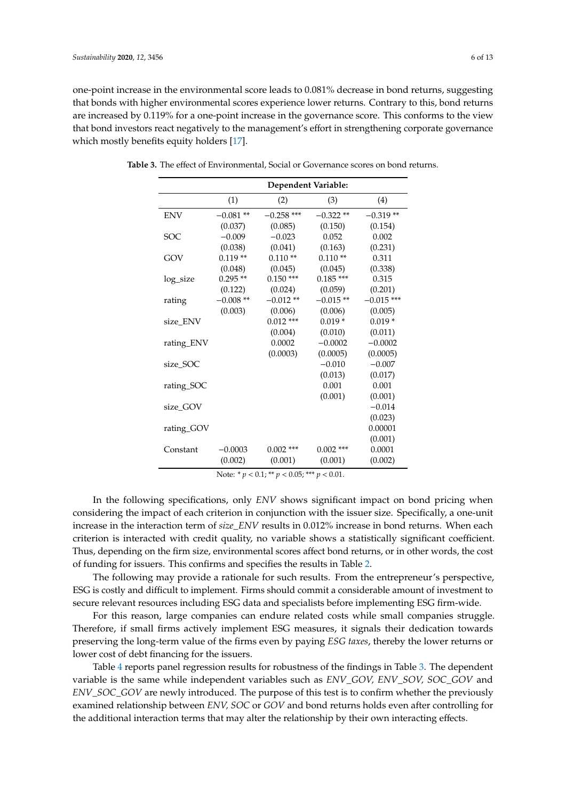one-point increase in the environmental score leads to 0.081% decrease in bond returns, suggesting that bonds with higher environmental scores experience lower returns. Contrary to this, bond returns are increased by 0.119% for a one-point increase in the governance score. This conforms to the view that bond investors react negatively to the management's effort in strengthening corporate governance which mostly benefits equity holders [\[17\]](#page-11-14).

|            | Dependent Variable: |              |             |              |
|------------|---------------------|--------------|-------------|--------------|
|            | (1)                 | (2)          | (3)         | (4)          |
| <b>ENV</b> | $-0.081**$          | $-0.258$ *** | $-0.322**$  | $-0.319**$   |
|            | (0.037)             | (0.085)      | (0.150)     | (0.154)      |
| SOC        | $-0.009$            | $-0.023$     | 0.052       | 0.002        |
|            | (0.038)             | (0.041)      | (0.163)     | (0.231)      |
| GOV        | $0.119**$           | $0.110**$    | $0.110**$   | 0.311        |
|            | (0.048)             | (0.045)      | (0.045)     | (0.338)      |
| log_size   | $0.295**$           | $0.150***$   | $0.185***$  | 0.315        |
|            | (0.122)             | (0.024)      | (0.059)     | (0.201)      |
| rating     | $-0.008**$          | $-0.012**$   | $-0.015**$  | $-0.015$ *** |
|            | (0.003)             | (0.006)      | (0.006)     | (0.005)      |
| size_ENV   |                     | $0.012$ ***  | $0.019*$    | $0.019*$     |
|            |                     | (0.004)      | (0.010)     | (0.011)      |
| rating_ENV |                     | 0.0002       | $-0.0002$   | $-0.0002$    |
|            |                     | (0.0003)     | (0.0005)    | (0.0005)     |
| size_SOC   |                     |              | $-0.010$    | $-0.007$     |
|            |                     |              | (0.013)     | (0.017)      |
| rating_SOC |                     |              | 0.001       | 0.001        |
|            |                     |              | (0.001)     | (0.001)      |
| size_GOV   |                     |              |             | $-0.014$     |
|            |                     |              |             | (0.023)      |
| rating_GOV |                     |              |             | 0.00001      |
|            |                     |              |             | (0.001)      |
| Constant   | $-0.0003$           | $0.002$ ***  | $0.002$ *** | 0.0001       |
|            | (0.002)             | (0.001)      | (0.001)     | (0.002)      |

<span id="page-5-0"></span>**Table 3.** The effect of Environmental, Social or Governance scores on bond returns.

Note: \* *p* < 0.1; \*\* *p* < 0.05; \*\*\* *p* < 0.01.

In the following specifications, only *ENV* shows significant impact on bond pricing when considering the impact of each criterion in conjunction with the issuer size. Specifically, a one-unit increase in the interaction term of *size\_ENV* results in 0.012% increase in bond returns. When each criterion is interacted with credit quality, no variable shows a statistically significant coefficient. Thus, depending on the firm size, environmental scores affect bond returns, or in other words, the cost of funding for issuers. This confirms and specifies the results in Table [2.](#page-4-0)

The following may provide a rationale for such results. From the entrepreneur's perspective, ESG is costly and difficult to implement. Firms should commit a considerable amount of investment to secure relevant resources including ESG data and specialists before implementing ESG firm-wide.

For this reason, large companies can endure related costs while small companies struggle. Therefore, if small firms actively implement ESG measures, it signals their dedication towards preserving the long-term value of the firms even by paying *ESG taxes*, thereby the lower returns or lower cost of debt financing for the issuers.

Table [4](#page-6-0) reports panel regression results for robustness of the findings in Table [3.](#page-5-0) The dependent variable is the same while independent variables such as *ENV\_GOV, ENV\_SOV, SOC\_GOV* and *ENV\_SOC\_GOV* are newly introduced. The purpose of this test is to confirm whether the previously examined relationship between *ENV, SOC* or *GOV* and bond returns holds even after controlling for the additional interaction terms that may alter the relationship by their own interacting effects.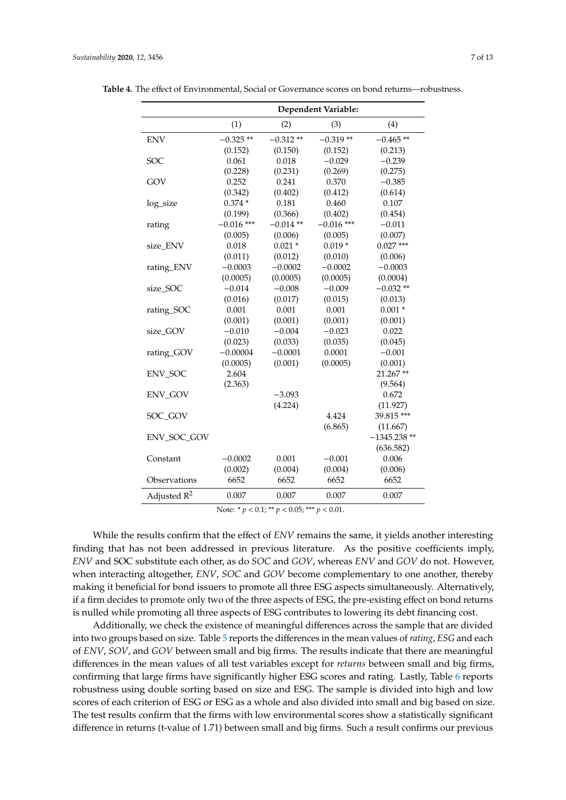|                    | Dependent Variable: |            |              |               |
|--------------------|---------------------|------------|--------------|---------------|
|                    | (1)                 | (2)        | (3)          | (4)           |
| <b>ENV</b>         | $-0.325**$          | $-0.312**$ | $-0.319**$   | $-0.465**$    |
|                    | (0.152)             | (0.150)    | (0.152)      | (0.213)       |
| <b>SOC</b>         | 0.061               | 0.018      | $-0.029$     | $-0.239$      |
|                    | (0.228)             | (0.231)    | (0.269)      | (0.275)       |
| GOV                | 0.252               | 0.241      | 0.370        | $-0.385$      |
|                    | (0.342)             | (0.402)    | (0.412)      | (0.614)       |
| log_size           | $0.374*$            | 0.181      | 0.460        | 0.107         |
|                    | (0.199)             | (0.366)    | (0.402)      | (0.454)       |
| rating             | $-0.016$ ***        | $-0.014**$ | $-0.016$ *** | $-0.011$      |
|                    | (0.005)             | (0.006)    | (0.005)      | (0.007)       |
| size ENV           | 0.018               | $0.021*$   | $0.019*$     | $0.027***$    |
|                    | (0.011)             | (0.012)    | (0.010)      | (0.006)       |
| rating_ENV         | $-0.0003$           | $-0.0002$  | $-0.0002$    | $-0.0003$     |
|                    | (0.0005)            | (0.0005)   | (0.0005)     | (0.0004)      |
| size_SOC           | $-0.014$            | $-0.008$   | $-0.009$     | $-0.032**$    |
|                    | (0.016)             | (0.017)    | (0.015)      | (0.013)       |
| rating_SOC         | 0.001               | 0.001      | 0.001        | $0.001*$      |
|                    | (0.001)             | (0.001)    | (0.001)      | (0.001)       |
| size_GOV           | $-0.010$            | $-0.004$   | $-0.023$     | 0.022         |
|                    | (0.023)             | (0.033)    | (0.035)      | (0.045)       |
| rating_GOV         | $-0.00004$          | $-0.0001$  | 0.0001       | $-0.001$      |
|                    | (0.0005)            | (0.001)    | (0.0005)     | (0.001)       |
| <b>ENV_SOC</b>     | 2.604               |            |              | 21.267**      |
|                    | (2.363)             |            |              | (9.564)       |
| <b>ENV_GOV</b>     |                     | $-3.093$   |              | 0.672         |
|                    |                     | (4.224)    |              | (11.927)      |
| SOC_GOV            |                     |            | 4.424        | 39.815***     |
|                    |                     |            | (6.865)      | (11.667)      |
| <b>ENV_SOC_GOV</b> |                     |            |              | $-1345.238**$ |
|                    |                     |            |              | (636.582)     |
| Constant           | $-0.0002$           | 0.001      | $-0.001$     | 0.006         |
|                    | (0.002)             | (0.004)    | (0.004)      | (0.006)       |
| Observations       | 6652                | 6652       | 6652         | 6652          |
| Adjusted $R^2$     | 0.007               | 0.007      | 0.007        | 0.007         |

<span id="page-6-0"></span>**Table 4.** The effect of Environmental, Social or Governance scores on bond returns—robustness.

Note: \* *p* < 0.1; \*\* *p* < 0.05; \*\*\* *p* < 0.01.

While the results confirm that the effect of *ENV* remains the same, it yields another interesting finding that has not been addressed in previous literature. As the positive coefficients imply, *ENV* and SOC substitute each other, as do *SOC* and *GOV*, whereas *ENV* and *GOV* do not. However, when interacting altogether, *ENV*, *SOC* and *GOV* become complementary to one another, thereby making it beneficial for bond issuers to promote all three ESG aspects simultaneously. Alternatively, if a firm decides to promote only two of the three aspects of ESG, the pre-existing effect on bond returns is nulled while promoting all three aspects of ESG contributes to lowering its debt financing cost.

Additionally, we check the existence of meaningful differences across the sample that are divided into two groups based on size. Table [5](#page-7-1) reports the differences in the mean values of *rating*, *ESG* and each of *ENV*, *SOV*, and *GOV* between small and big firms. The results indicate that there are meaningful differences in the mean values of all test variables except for *returns* between small and big firms, confirming that large firms have significantly higher ESG scores and rating. Lastly, Table [6](#page-7-2) reports robustness using double sorting based on size and ESG. The sample is divided into high and low scores of each criterion of ESG or ESG as a whole and also divided into small and big based on size. The test results confirm that the firms with low environmental scores show a statistically significant difference in returns (t-value of 1.71) between small and big firms. Such a result confirms our previous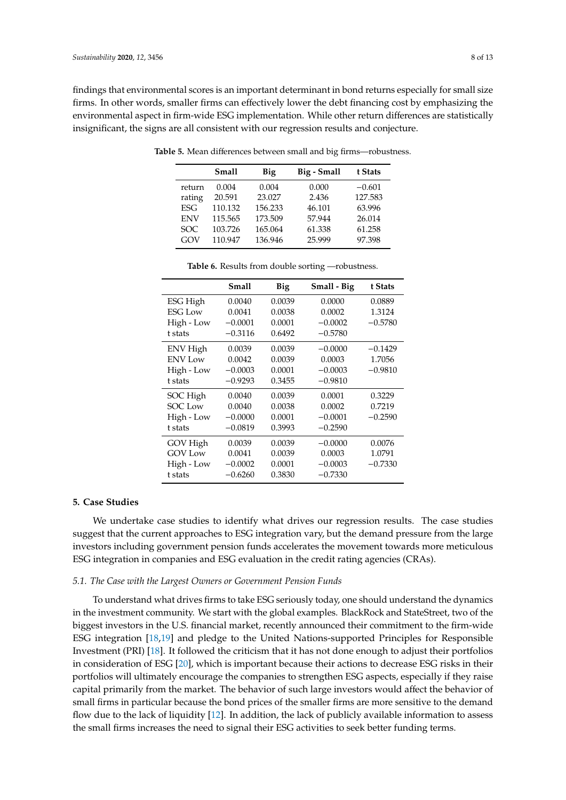<span id="page-7-1"></span>findings that environmental scores is an important determinant in bond returns especially for small size firms. In other words, smaller firms can effectively lower the debt financing cost by emphasizing the environmental aspect in firm-wide ESG implementation. While other return differences are statistically insignificant, the signs are all consistent with our regression results and conjecture.

|            | <b>Small</b> | Big     | Big - Small | t Stats  |
|------------|--------------|---------|-------------|----------|
| return     | 0.004        | 0.004   | 0.000       | $-0.601$ |
| rating     | 20.591       | 23.027  | 2.436       | 127.583  |
| <b>ESG</b> | 110.132      | 156.233 | 46.101      | 63.996   |
| <b>ENV</b> | 115.565      | 173.509 | 57.944      | 26.014   |
| SOC.       | 103.726      | 165.064 | 61.338      | 61.258   |
| GOV        | 110.947      | 136.946 | 25.999      | 97.398   |
|            |              |         |             |          |

**Table 5.** Mean differences between small and big firms—robustness.

<span id="page-7-2"></span>

|                 | Small     | Big    | Small - Big | t Stats   |
|-----------------|-----------|--------|-------------|-----------|
| ESG High        | 0.0040    | 0.0039 | 0.0000      | 0.0889    |
| <b>ESG Low</b>  | 0.0041    | 0.0038 | 0.0002      | 1.3124    |
| High - Low      | $-0.0001$ | 0.0001 | $-0.0002$   | $-0.5780$ |
| t stats         | $-0.3116$ | 0.6492 | $-0.5780$   |           |
| <b>ENV</b> High | 0.0039    | 0.0039 | $-0.0000$   | $-0.1429$ |
| <b>ENV Low</b>  | 0.0042    | 0.0039 | 0.0003      | 1.7056    |
| High - Low      | $-0.0003$ | 0.0001 | $-0.0003$   | $-0.9810$ |
| t stats         | $-0.9293$ | 0.3455 | $-0.9810$   |           |
| SOC High        | 0.0040    | 0.0039 | 0.0001      | 0.3229    |
| <b>SOC</b> Low  | 0.0040    | 0.0038 | 0.0002      | 0.7219    |
| High - Low      | $-0.0000$ | 0.0001 | $-0.0001$   | $-0.2590$ |
| t stats         | $-0.0819$ | 0.3993 | $-0.2590$   |           |
| GOV High        | 0.0039    | 0.0039 | $-0.0000$   | 0.0076    |
| <b>GOV Low</b>  | 0.0041    | 0.0039 | 0.0003      | 1.0791    |
| High - Low      | $-0.0002$ | 0.0001 | $-0.0003$   | $-0.7330$ |
| t stats         | $-0.6260$ | 0.3830 | $-0.7330$   |           |

**Table 6.** Results from double sorting —robustness.

## <span id="page-7-0"></span>**5. Case Studies**

We undertake case studies to identify what drives our regression results. The case studies suggest that the current approaches to ESG integration vary, but the demand pressure from the large investors including government pension funds accelerates the movement towards more meticulous ESG integration in companies and ESG evaluation in the credit rating agencies (CRAs).

## *5.1. The Case with the Largest Owners or Government Pension Funds*

To understand what drives firms to take ESG seriously today, one should understand the dynamics in the investment community. We start with the global examples. BlackRock and StateStreet, two of the biggest investors in the U.S. financial market, recently announced their commitment to the firm-wide ESG integration [\[18](#page-11-15)[,19\]](#page-11-16) and pledge to the United Nations-supported Principles for Responsible Investment (PRI) [\[18\]](#page-11-15). It followed the criticism that it has not done enough to adjust their portfolios in consideration of ESG [\[20\]](#page-11-17), which is important because their actions to decrease ESG risks in their portfolios will ultimately encourage the companies to strengthen ESG aspects, especially if they raise capital primarily from the market. The behavior of such large investors would affect the behavior of small firms in particular because the bond prices of the smaller firms are more sensitive to the demand flow due to the lack of liquidity [\[12\]](#page-11-9). In addition, the lack of publicly available information to assess the small firms increases the need to signal their ESG activities to seek better funding terms.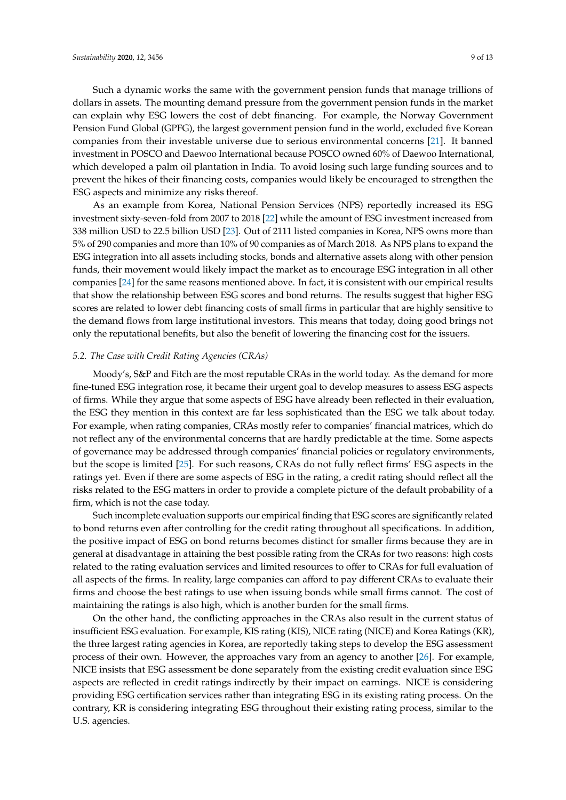Such a dynamic works the same with the government pension funds that manage trillions of dollars in assets. The mounting demand pressure from the government pension funds in the market can explain why ESG lowers the cost of debt financing. For example, the Norway Government Pension Fund Global (GPFG), the largest government pension fund in the world, excluded five Korean companies from their investable universe due to serious environmental concerns [\[21\]](#page-12-0). It banned investment in POSCO and Daewoo International because POSCO owned 60% of Daewoo International, which developed a palm oil plantation in India. To avoid losing such large funding sources and to prevent the hikes of their financing costs, companies would likely be encouraged to strengthen the ESG aspects and minimize any risks thereof.

As an example from Korea, National Pension Services (NPS) reportedly increased its ESG investment sixty-seven-fold from 2007 to 2018 [\[22\]](#page-12-1) while the amount of ESG investment increased from 338 million USD to 22.5 billion USD [\[23\]](#page-12-2). Out of 2111 listed companies in Korea, NPS owns more than 5% of 290 companies and more than 10% of 90 companies as of March 2018. As NPS plans to expand the ESG integration into all assets including stocks, bonds and alternative assets along with other pension funds, their movement would likely impact the market as to encourage ESG integration in all other companies [\[24\]](#page-12-3) for the same reasons mentioned above. In fact, it is consistent with our empirical results that show the relationship between ESG scores and bond returns. The results suggest that higher ESG scores are related to lower debt financing costs of small firms in particular that are highly sensitive to the demand flows from large institutional investors. This means that today, doing good brings not only the reputational benefits, but also the benefit of lowering the financing cost for the issuers.

#### *5.2. The Case with Credit Rating Agencies (CRAs)*

Moody's, S&P and Fitch are the most reputable CRAs in the world today. As the demand for more fine-tuned ESG integration rose, it became their urgent goal to develop measures to assess ESG aspects of firms. While they argue that some aspects of ESG have already been reflected in their evaluation, the ESG they mention in this context are far less sophisticated than the ESG we talk about today. For example, when rating companies, CRAs mostly refer to companies' financial matrices, which do not reflect any of the environmental concerns that are hardly predictable at the time. Some aspects of governance may be addressed through companies' financial policies or regulatory environments, but the scope is limited [\[25\]](#page-12-4). For such reasons, CRAs do not fully reflect firms' ESG aspects in the ratings yet. Even if there are some aspects of ESG in the rating, a credit rating should reflect all the risks related to the ESG matters in order to provide a complete picture of the default probability of a firm, which is not the case today.

Such incomplete evaluation supports our empirical finding that ESG scores are significantly related to bond returns even after controlling for the credit rating throughout all specifications. In addition, the positive impact of ESG on bond returns becomes distinct for smaller firms because they are in general at disadvantage in attaining the best possible rating from the CRAs for two reasons: high costs related to the rating evaluation services and limited resources to offer to CRAs for full evaluation of all aspects of the firms. In reality, large companies can afford to pay different CRAs to evaluate their firms and choose the best ratings to use when issuing bonds while small firms cannot. The cost of maintaining the ratings is also high, which is another burden for the small firms.

On the other hand, the conflicting approaches in the CRAs also result in the current status of insufficient ESG evaluation. For example, KIS rating (KIS), NICE rating (NICE) and Korea Ratings (KR), the three largest rating agencies in Korea, are reportedly taking steps to develop the ESG assessment process of their own. However, the approaches vary from an agency to another [\[26\]](#page-12-5). For example, NICE insists that ESG assessment be done separately from the existing credit evaluation since ESG aspects are reflected in credit ratings indirectly by their impact on earnings. NICE is considering providing ESG certification services rather than integrating ESG in its existing rating process. On the contrary, KR is considering integrating ESG throughout their existing rating process, similar to the U.S. agencies.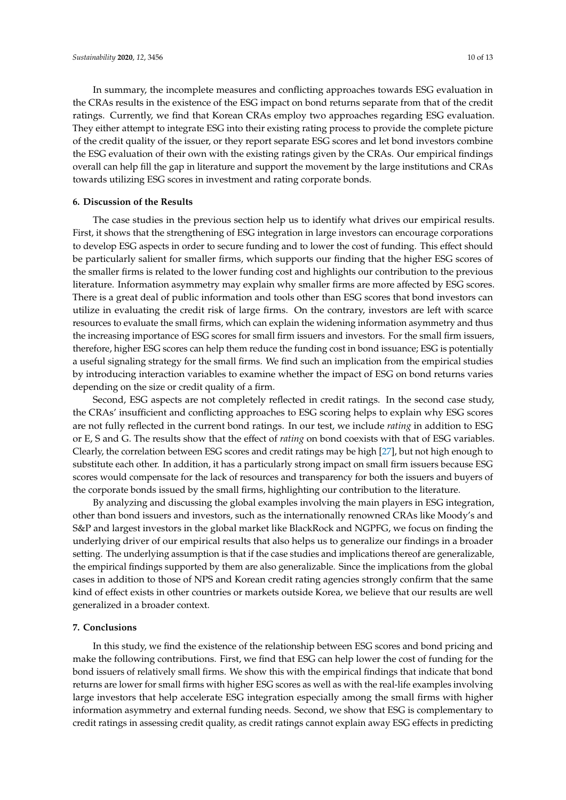In summary, the incomplete measures and conflicting approaches towards ESG evaluation in the CRAs results in the existence of the ESG impact on bond returns separate from that of the credit ratings. Currently, we find that Korean CRAs employ two approaches regarding ESG evaluation. They either attempt to integrate ESG into their existing rating process to provide the complete picture of the credit quality of the issuer, or they report separate ESG scores and let bond investors combine the ESG evaluation of their own with the existing ratings given by the CRAs. Our empirical findings overall can help fill the gap in literature and support the movement by the large institutions and CRAs towards utilizing ESG scores in investment and rating corporate bonds.

# <span id="page-9-0"></span>**6. Discussion of the Results**

The case studies in the previous section help us to identify what drives our empirical results. First, it shows that the strengthening of ESG integration in large investors can encourage corporations to develop ESG aspects in order to secure funding and to lower the cost of funding. This effect should be particularly salient for smaller firms, which supports our finding that the higher ESG scores of the smaller firms is related to the lower funding cost and highlights our contribution to the previous literature. Information asymmetry may explain why smaller firms are more affected by ESG scores. There is a great deal of public information and tools other than ESG scores that bond investors can utilize in evaluating the credit risk of large firms. On the contrary, investors are left with scarce resources to evaluate the small firms, which can explain the widening information asymmetry and thus the increasing importance of ESG scores for small firm issuers and investors. For the small firm issuers, therefore, higher ESG scores can help them reduce the funding cost in bond issuance; ESG is potentially a useful signaling strategy for the small firms. We find such an implication from the empirical studies by introducing interaction variables to examine whether the impact of ESG on bond returns varies depending on the size or credit quality of a firm.

Second, ESG aspects are not completely reflected in credit ratings. In the second case study, the CRAs' insufficient and conflicting approaches to ESG scoring helps to explain why ESG scores are not fully reflected in the current bond ratings. In our test, we include *rating* in addition to ESG or E, S and G. The results show that the effect of *rating* on bond coexists with that of ESG variables. Clearly, the correlation between ESG scores and credit ratings may be high [\[27\]](#page-12-6), but not high enough to substitute each other. In addition, it has a particularly strong impact on small firm issuers because ESG scores would compensate for the lack of resources and transparency for both the issuers and buyers of the corporate bonds issued by the small firms, highlighting our contribution to the literature.

By analyzing and discussing the global examples involving the main players in ESG integration, other than bond issuers and investors, such as the internationally renowned CRAs like Moody's and S&P and largest investors in the global market like BlackRock and NGPFG, we focus on finding the underlying driver of our empirical results that also helps us to generalize our findings in a broader setting. The underlying assumption is that if the case studies and implications thereof are generalizable, the empirical findings supported by them are also generalizable. Since the implications from the global cases in addition to those of NPS and Korean credit rating agencies strongly confirm that the same kind of effect exists in other countries or markets outside Korea, we believe that our results are well generalized in a broader context.

## <span id="page-9-1"></span>**7. Conclusions**

In this study, we find the existence of the relationship between ESG scores and bond pricing and make the following contributions. First, we find that ESG can help lower the cost of funding for the bond issuers of relatively small firms. We show this with the empirical findings that indicate that bond returns are lower for small firms with higher ESG scores as well as with the real-life examples involving large investors that help accelerate ESG integration especially among the small firms with higher information asymmetry and external funding needs. Second, we show that ESG is complementary to credit ratings in assessing credit quality, as credit ratings cannot explain away ESG effects in predicting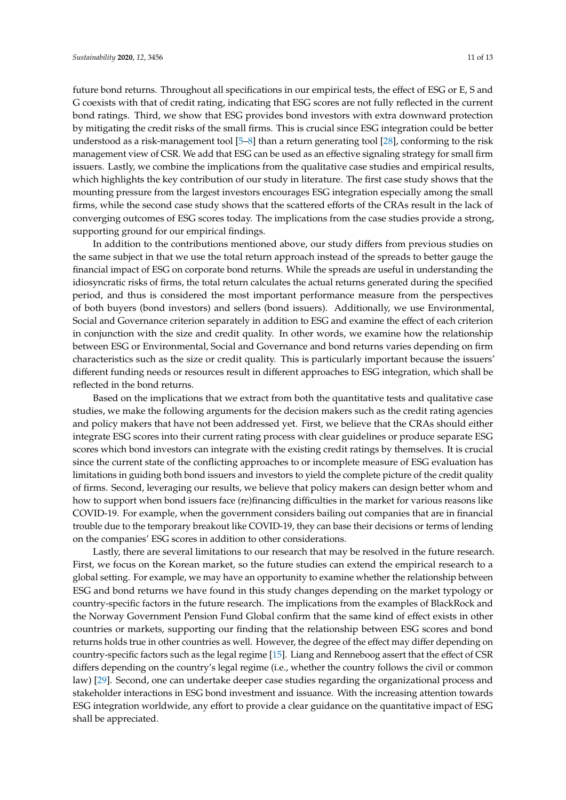future bond returns. Throughout all specifications in our empirical tests, the effect of ESG or E, S and G coexists with that of credit rating, indicating that ESG scores are not fully reflected in the current bond ratings. Third, we show that ESG provides bond investors with extra downward protection by mitigating the credit risks of the small firms. This is crucial since ESG integration could be better understood as a risk-management tool [\[5–](#page-11-3)[8\]](#page-11-4) than a return generating tool [\[28\]](#page-12-7), conforming to the risk management view of CSR. We add that ESG can be used as an effective signaling strategy for small firm issuers. Lastly, we combine the implications from the qualitative case studies and empirical results, which highlights the key contribution of our study in literature. The first case study shows that the mounting pressure from the largest investors encourages ESG integration especially among the small firms, while the second case study shows that the scattered efforts of the CRAs result in the lack of converging outcomes of ESG scores today. The implications from the case studies provide a strong, supporting ground for our empirical findings.

In addition to the contributions mentioned above, our study differs from previous studies on the same subject in that we use the total return approach instead of the spreads to better gauge the financial impact of ESG on corporate bond returns. While the spreads are useful in understanding the idiosyncratic risks of firms, the total return calculates the actual returns generated during the specified period, and thus is considered the most important performance measure from the perspectives of both buyers (bond investors) and sellers (bond issuers). Additionally, we use Environmental, Social and Governance criterion separately in addition to ESG and examine the effect of each criterion in conjunction with the size and credit quality. In other words, we examine how the relationship between ESG or Environmental, Social and Governance and bond returns varies depending on firm characteristics such as the size or credit quality. This is particularly important because the issuers' different funding needs or resources result in different approaches to ESG integration, which shall be reflected in the bond returns.

Based on the implications that we extract from both the quantitative tests and qualitative case studies, we make the following arguments for the decision makers such as the credit rating agencies and policy makers that have not been addressed yet. First, we believe that the CRAs should either integrate ESG scores into their current rating process with clear guidelines or produce separate ESG scores which bond investors can integrate with the existing credit ratings by themselves. It is crucial since the current state of the conflicting approaches to or incomplete measure of ESG evaluation has limitations in guiding both bond issuers and investors to yield the complete picture of the credit quality of firms. Second, leveraging our results, we believe that policy makers can design better whom and how to support when bond issuers face (re)financing difficulties in the market for various reasons like COVID-19. For example, when the government considers bailing out companies that are in financial trouble due to the temporary breakout like COVID-19, they can base their decisions or terms of lending on the companies' ESG scores in addition to other considerations.

Lastly, there are several limitations to our research that may be resolved in the future research. First, we focus on the Korean market, so the future studies can extend the empirical research to a global setting. For example, we may have an opportunity to examine whether the relationship between ESG and bond returns we have found in this study changes depending on the market typology or country-specific factors in the future research. The implications from the examples of BlackRock and the Norway Government Pension Fund Global confirm that the same kind of effect exists in other countries or markets, supporting our finding that the relationship between ESG scores and bond returns holds true in other countries as well. However, the degree of the effect may differ depending on country-specific factors such as the legal regime [\[15\]](#page-11-12). Liang and Renneboog assert that the effect of CSR differs depending on the country's legal regime (i.e., whether the country follows the civil or common law) [\[29\]](#page-12-8). Second, one can undertake deeper case studies regarding the organizational process and stakeholder interactions in ESG bond investment and issuance. With the increasing attention towards ESG integration worldwide, any effort to provide a clear guidance on the quantitative impact of ESG shall be appreciated.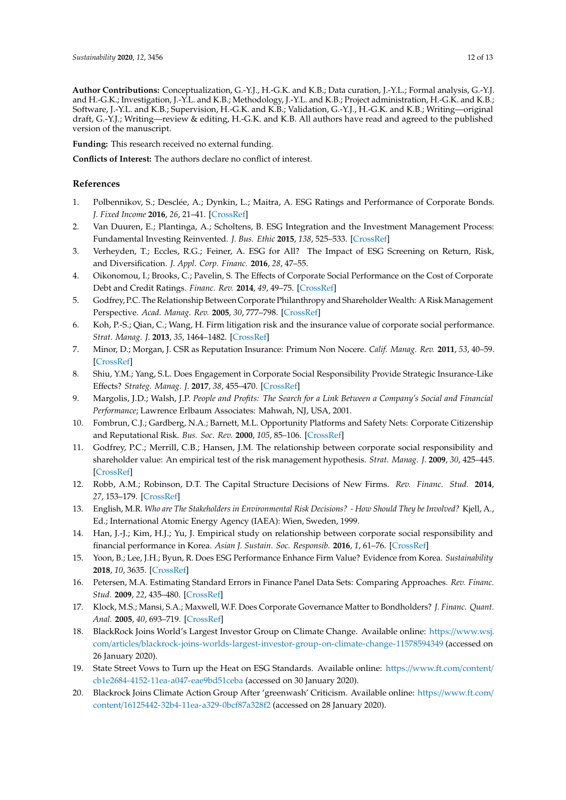**Author Contributions:** Conceptualization, G.-Y.J., H.-G.K. and K.B.; Data curation, J.-Y.L.; Formal analysis, G.-Y.J. and H.-G.K.; Investigation, J.-Y.L. and K.B.; Methodology, J.-Y.L. and K.B.; Project administration, H.-G.K. and K.B.; Software, J.-Y.L. and K.B.; Supervision, H.-G.K. and K.B.; Validation, G.-Y.J., H.-G.K. and K.B.; Writing—original draft, G.-Y.J.; Writing—review & editing, H.-G.K. and K.B. All authors have read and agreed to the published version of the manuscript.

**Funding:** This research received no external funding.

**Conflicts of Interest:** The authors declare no conflict of interest.

# **References**

- <span id="page-11-0"></span>1. Polbennikov, S.; Desclée, A.; Dynkin, L.; Maitra, A. ESG Ratings and Performance of Corporate Bonds. *J. Fixed Income* **2016**, *26*, 21–41. [\[CrossRef\]](http://dx.doi.org/10.3905/jfi.2016.26.1.021)
- 2. Van Duuren, E.; Plantinga, A.; Scholtens, B. ESG Integration and the Investment Management Process: Fundamental Investing Reinvented. *J. Bus. Ethic* **2015**, *138*, 525–533. [\[CrossRef\]](http://dx.doi.org/10.1007/s10551-015-2610-8)
- <span id="page-11-1"></span>3. Verheyden, T.; Eccles, R.G.; Feiner, A. ESG for All? The Impact of ESG Screening on Return, Risk, and Diversification. *J. Appl. Corp. Financ.* **2016**, *28*, 47–55.
- <span id="page-11-2"></span>4. Oikonomou, I.; Brooks, C.; Pavelin, S. The Effects of Corporate Social Performance on the Cost of Corporate Debt and Credit Ratings. *Financ. Rev.* **2014**, *49*, 49–75. [\[CrossRef\]](http://dx.doi.org/10.1111/fire.12025)
- <span id="page-11-3"></span>5. Godfrey, P.C. The Relationship Between Corporate Philanthropy and ShareholderWealth: A Risk Management Perspective. *Acad. Manag. Rev.* **2005**, *30*, 777–798. [\[CrossRef\]](http://dx.doi.org/10.5465/amr.2005.18378878)
- <span id="page-11-6"></span>6. Koh, P.-S.; Qian, C.; Wang, H. Firm litigation risk and the insurance value of corporate social performance. *Strat. Manag. J.* **2013**, *35*, 1464–1482. [\[CrossRef\]](http://dx.doi.org/10.1002/smj.2171)
- 7. Minor, D.; Morgan, J. CSR as Reputation Insurance: Primum Non Nocere. *Calif. Manag. Rev.* **2011**, *53*, 40–59. [\[CrossRef\]](http://dx.doi.org/10.1525/cmr.2011.53.3.40)
- <span id="page-11-4"></span>8. Shiu, Y.M.; Yang, S.L. Does Engagement in Corporate Social Responsibility Provide Strategic Insurance-Like Effects? *Strateg. Manag. J.* **2017**, *38*, 455–470. [\[CrossRef\]](http://dx.doi.org/10.1002/smj.2494)
- <span id="page-11-5"></span>9. Margolis, J.D.; Walsh, J.P. *People and Profits: The Search for a Link Between a Company's Social and Financial Performance*; Lawrence Erlbaum Associates: Mahwah, NJ, USA, 2001.
- <span id="page-11-7"></span>10. Fombrun, C.J.; Gardberg, N.A.; Barnett, M.L. Opportunity Platforms and Safety Nets: Corporate Citizenship and Reputational Risk. *Bus. Soc. Rev.* **2000**, *105*, 85–106. [\[CrossRef\]](http://dx.doi.org/10.1111/0045-3609.00066)
- <span id="page-11-8"></span>11. Godfrey, P.C.; Merrill, C.B.; Hansen, J.M. The relationship between corporate social responsibility and shareholder value: An empirical test of the risk management hypothesis. *Strat. Manag. J.* **2009**, *30*, 425–445. [\[CrossRef\]](http://dx.doi.org/10.1002/smj.750)
- <span id="page-11-9"></span>12. Robb, A.M.; Robinson, D.T. The Capital Structure Decisions of New Firms. *Rev. Financ. Stud.* **2014**, *27*, 153–179. [\[CrossRef\]](http://dx.doi.org/10.1093/rfs/hhs072)
- <span id="page-11-10"></span>13. English, M.R. *Who are The Stakeholders in Environmental Risk Decisions? - How Should They be Involved?* Kjell, A., Ed.; International Atomic Energy Agency (IAEA): Wien, Sweden, 1999.
- <span id="page-11-11"></span>14. Han, J.-J.; Kim, H.J.; Yu, J. Empirical study on relationship between corporate social responsibility and financial performance in Korea. *Asian J. Sustain. Soc. Responsib.* **2016**, *1*, 61–76. [\[CrossRef\]](http://dx.doi.org/10.1186/s41180-016-0002-3)
- <span id="page-11-12"></span>15. Yoon, B.; Lee, J.H.; Byun, R. Does ESG Performance Enhance Firm Value? Evidence from Korea. *Sustainability* **2018**, *10*, 3635. [\[CrossRef\]](http://dx.doi.org/10.3390/su10103635)
- <span id="page-11-13"></span>16. Petersen, M.A. Estimating Standard Errors in Finance Panel Data Sets: Comparing Approaches. *Rev. Financ. Stud.* **2009**, *22*, 435–480. [\[CrossRef\]](http://dx.doi.org/10.1093/rfs/hhn053)
- <span id="page-11-14"></span>17. Klock, M.S.; Mansi, S.A.; Maxwell, W.F. Does Corporate Governance Matter to Bondholders? *J. Financ. Quant. Anal.* **2005**, *40*, 693–719. [\[CrossRef\]](http://dx.doi.org/10.1017/S0022109000001940)
- <span id="page-11-15"></span>18. BlackRock Joins World's Largest Investor Group on Climate Change. Available online: https://[www.wsj.](https://www.wsj.com/articles/blackrock-joins-worlds-largest-investor-group-on-climate-change-11578594349) com/articles/[blackrock-joins-worlds-largest-investor-group-on-climate-change-11578594349](https://www.wsj.com/articles/blackrock-joins-worlds-largest-investor-group-on-climate-change-11578594349) (accessed on 26 January 2020).
- <span id="page-11-16"></span>19. State Street Vows to Turn up the Heat on ESG Standards. Available online: https://[www.ft.com](https://www.ft.com/content/cb1e2684-4152-11ea-a047-eae9bd51ceba)/content/ [cb1e2684-4152-11ea-a047-eae9bd51ceba](https://www.ft.com/content/cb1e2684-4152-11ea-a047-eae9bd51ceba) (accessed on 30 January 2020).
- <span id="page-11-17"></span>20. Blackrock Joins Climate Action Group After 'greenwash' Criticism. Available online: https://[www.ft.com](https://www.ft.com/content/16125442-32b4-11ea-a329-0bcf87a328f2)/ content/[16125442-32b4-11ea-a329-0bcf87a328f2](https://www.ft.com/content/16125442-32b4-11ea-a329-0bcf87a328f2) (accessed on 28 January 2020).